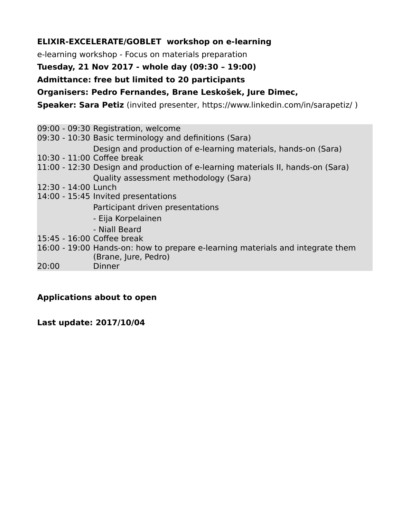### **ELIXIR-EXCELERATE/GOBLET workshop on e-learning**

e-learning workshop - Focus on materials preparation

#### **Tuesday, 21 Nov 2017 - whole day (09:30 – 19:00)**

#### **Admittance: free but limited to 20 participants**

**Organisers: Pedro Fernandes, Brane Leskošek, Jure Dimec,** 

**Speaker: Sara Petiz** (invited presenter, https://www.linkedin.com/in/sarapetiz/ )

|                            | 09:00 - 09:30 Registration, welcome                                             |
|----------------------------|---------------------------------------------------------------------------------|
|                            | 09:30 - 10:30 Basic terminology and definitions (Sara)                          |
|                            | Design and production of e-learning materials, hands-on (Sara)                  |
| 10:30 - 11:00 Coffee break |                                                                                 |
|                            | 11:00 - 12:30 Design and production of e-learning materials II, hands-on (Sara) |
|                            | Quality assessment methodology (Sara)                                           |
| 12:30 - 14:00 Lunch        |                                                                                 |
|                            | 14:00 - 15:45 Invited presentations                                             |
|                            | Participant driven presentations                                                |
|                            | - Eija Korpelainen                                                              |
|                            | - Niall Beard                                                                   |
| 15:45 - 16:00 Coffee break |                                                                                 |
|                            | 16:00 - 19:00 Hands-on: how to prepare e-learning materials and integrate them  |
|                            | (Brane, Jure, Pedro)                                                            |
| 20:00                      | Dinner                                                                          |

### **Applications about to open**

**Last update: 2017/10/04**